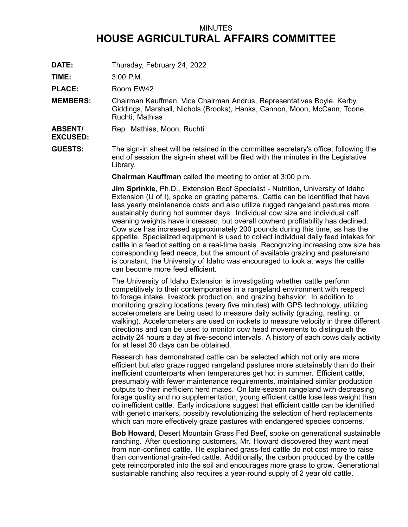## MINUTES **HOUSE AGRICULTURAL AFFAIRS COMMITTEE**

**DATE:** Thursday, February 24, 2022

**TIME:** 3:00 P.M.

PLACE: Room EW42

**MEMBERS:** Chairman Kauffman, Vice Chairman Andrus, Representatives Boyle, Kerby, Giddings, Marshall, Nichols (Brooks), Hanks, Cannon, Moon, McCann, Toone, Ruchti, Mathias

**ABSENT/** Rep. Mathias, Moon, Ruchti

**EXCUSED:**

**GUESTS:** The sign-in sheet will be retained in the committee secretary's office; following the end of session the sign-in sheet will be filed with the minutes in the Legislative Library.

**Chairman Kauffman** called the meeting to order at 3:00 p.m.

**Jim Sprinkle**, Ph.D., Extension Beef Specialist - Nutrition, University of Idaho Extension (U of I), spoke on grazing patterns. Cattle can be identified that have less yearly maintenance costs and also utilize rugged rangeland pastures more sustainably during hot summer days. Individual cow size and individual calf weaning weights have increased, but overall cowherd profitability has declined. Cow size has increased approximately 200 pounds during this time, as has the appetite. Specialized equipment is used to collect individual daily feed intakes for cattle in <sup>a</sup> feedlot setting on <sup>a</sup> real-time basis. Recognizing increasing cow size has corresponding feed needs, but the amount of available grazing and pastureland is constant, the University of Idaho was encouraged to look at ways the cattle can become more feed efficient.

The University of Idaho Extension is investigating whether cattle perform competitively to their contemporaries in <sup>a</sup> rangeland environment with respect to forage intake, livestock production, and grazing behavior. In addition to monitoring grazing locations (every five minutes) with GPS technology, utilizing accelerometers are being used to measure daily activity (grazing, resting, or walking). Accelerometers are used on rockets to measure velocity in three different directions and can be used to monitor cow head movements to distinguish the activity 24 hours <sup>a</sup> day at five-second intervals. A history of each cows daily activity for at least 30 days can be obtained.

Research has demonstrated cattle can be selected which not only are more efficient but also graze rugged rangeland pastures more sustainably than do their inefficient counterparts when temperatures get hot in summer. Efficient cattle, presumably with fewer maintenance requirements, maintained similar production outputs to their inefficient herd mates. On late-season rangeland with decreasing forage quality and no supplementation, young efficient cattle lose less weight than do inefficient cattle. Early indications suggest that efficient cattle can be identified with genetic markers, possibly revolutionizing the selection of herd replacements which can more effectively graze pastures with endangered species concerns.

**Bob Howard**, Desert Mountain Grass Fed Beef, spoke on generational sustainable ranching. After questioning customers, Mr. Howard discovered they want meat from non-confined cattle. He explained grass-fed cattle do not cost more to raise than conventional grain-fed cattle. Additionally, the carbon produced by the cattle gets reincorporated into the soil and encourages more grass to grow. Generational sustainable ranching also requires <sup>a</sup> year-round supply of 2 year old cattle.